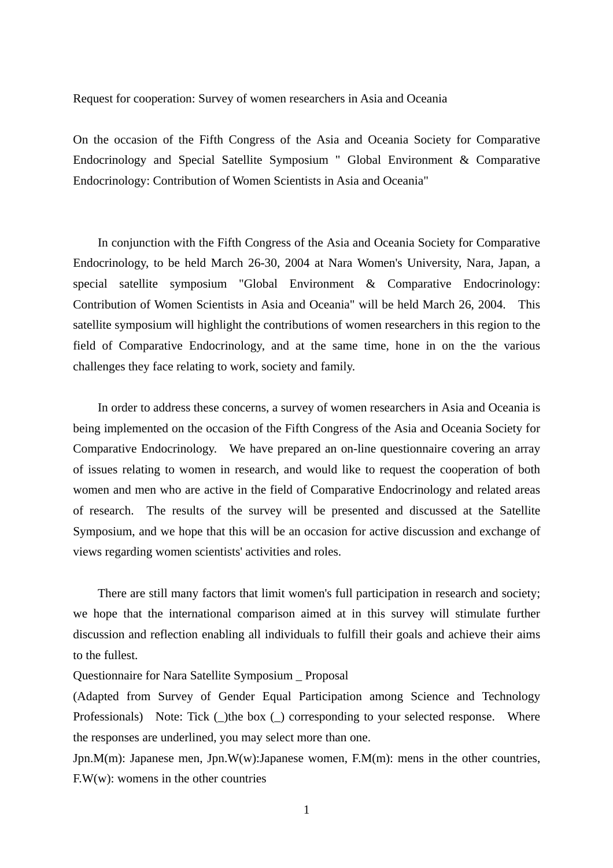Request for cooperation: Survey of women researchers in Asia and Oceania

On the occasion of the Fifth Congress of the Asia and Oceania Society for Comparative Endocrinology and Special Satellite Symposium " Global Environment & Comparative Endocrinology: Contribution of Women Scientists in Asia and Oceania"

 In conjunction with the Fifth Congress of the Asia and Oceania Society for Comparative Endocrinology, to be held March 26-30, 2004 at Nara Women's University, Nara, Japan, a special satellite symposium "Global Environment & Comparative Endocrinology: Contribution of Women Scientists in Asia and Oceania" will be held March 26, 2004. This satellite symposium will highlight the contributions of women researchers in this region to the field of Comparative Endocrinology, and at the same time, hone in on the the various challenges they face relating to work, society and family.

 In order to address these concerns, a survey of women researchers in Asia and Oceania is being implemented on the occasion of the Fifth Congress of the Asia and Oceania Society for Comparative Endocrinology. We have prepared an on-line questionnaire covering an array of issues relating to women in research, and would like to request the cooperation of both women and men who are active in the field of Comparative Endocrinology and related areas of research. The results of the survey will be presented and discussed at the Satellite Symposium, and we hope that this will be an occasion for active discussion and exchange of views regarding women scientists' activities and roles.

 There are still many factors that limit women's full participation in research and society; we hope that the international comparison aimed at in this survey will stimulate further discussion and reflection enabling all individuals to fulfill their goals and achieve their aims to the fullest.

Questionnaire for Nara Satellite Symposium \_ Proposal

(Adapted from Survey of Gender Equal Participation among Science and Technology Professionals) Note: Tick ( ) the box ( ) corresponding to your selected response. Where the responses are underlined, you may select more than one.

Jpn.M(m): Japanese men, Jpn.W(w):Japanese women, F.M(m): mens in the other countries, F.W(w): womens in the other countries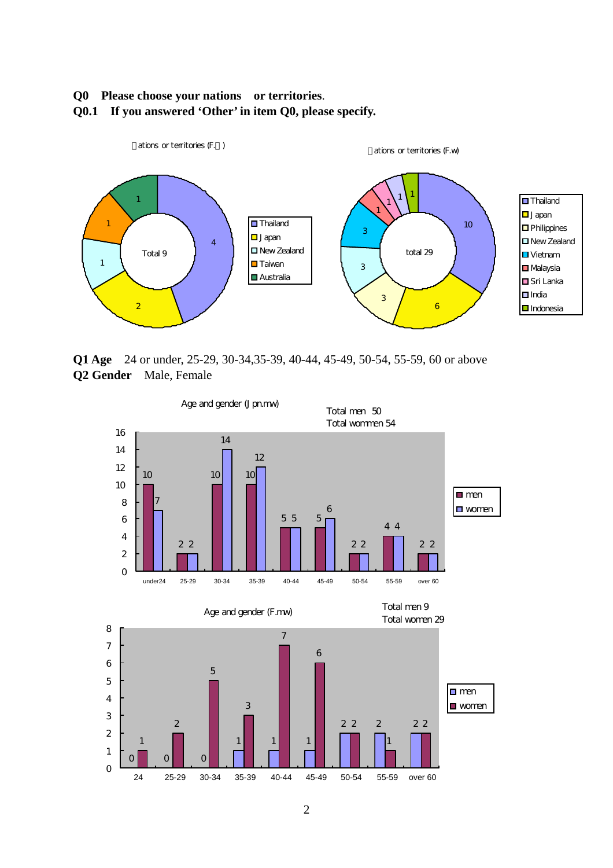#### **Q0 Please choose your nations or territories**.

**Q0.1 If you answered 'Other' in item Q0, please specify.** 



**Q1 Age** 24 or under, 25-29, 30-34,35-39, 40-44, 45-49, 50-54, 55-59, 60 or above **Q2 Gender** Male, Female

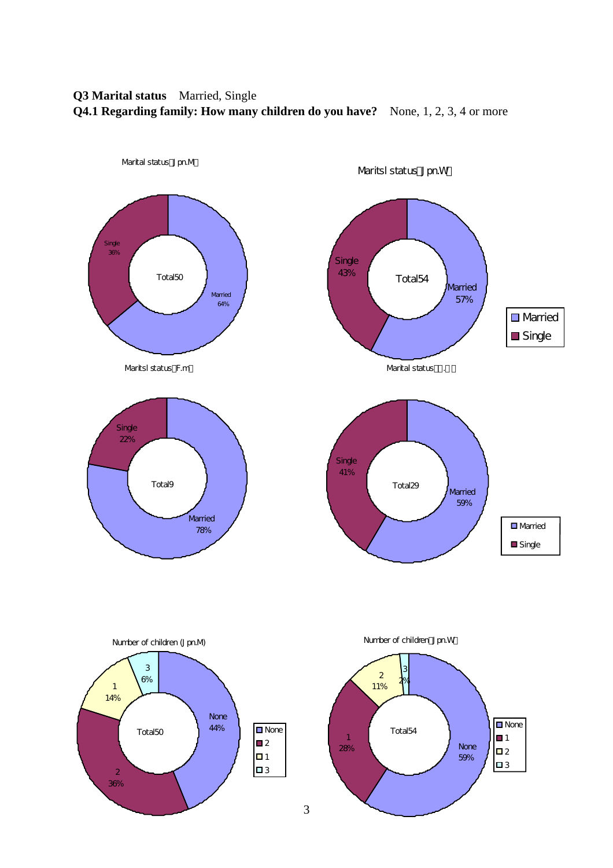# **Q3 Marital status** Married, Single **Q4.1 Regarding family: How many children do you have?** None, 1, 2, 3, 4 or more

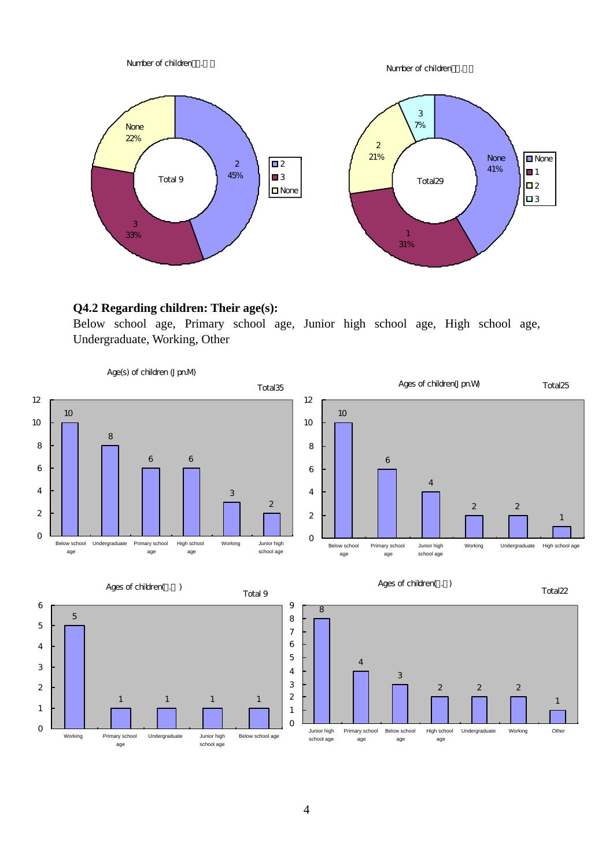

## **Q4.2 Regarding children: Their age(s):**

Below school age, Primary school age, Junior high school age, High school age, Undergraduate, Working, Other

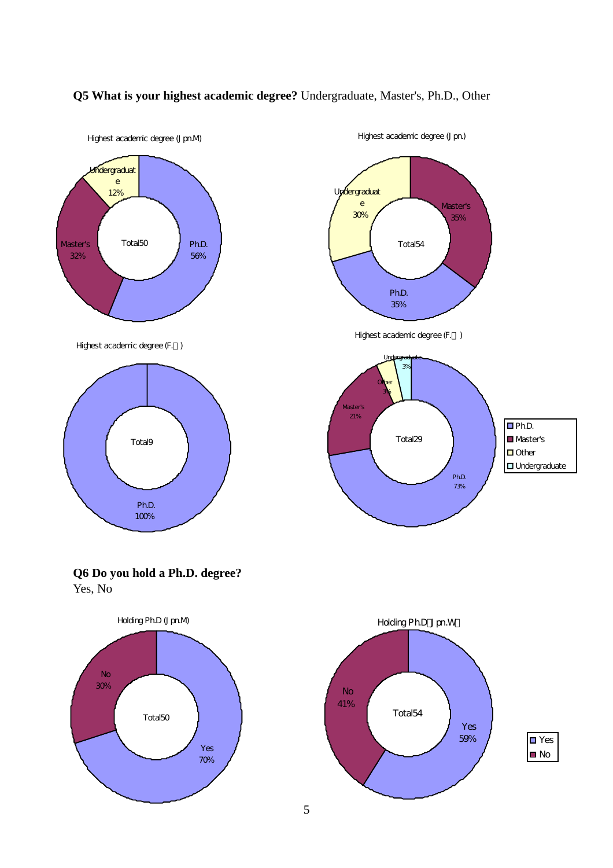

## **Q5 What is your highest academic degree?** Undergraduate, Master's, Ph.D., Other

5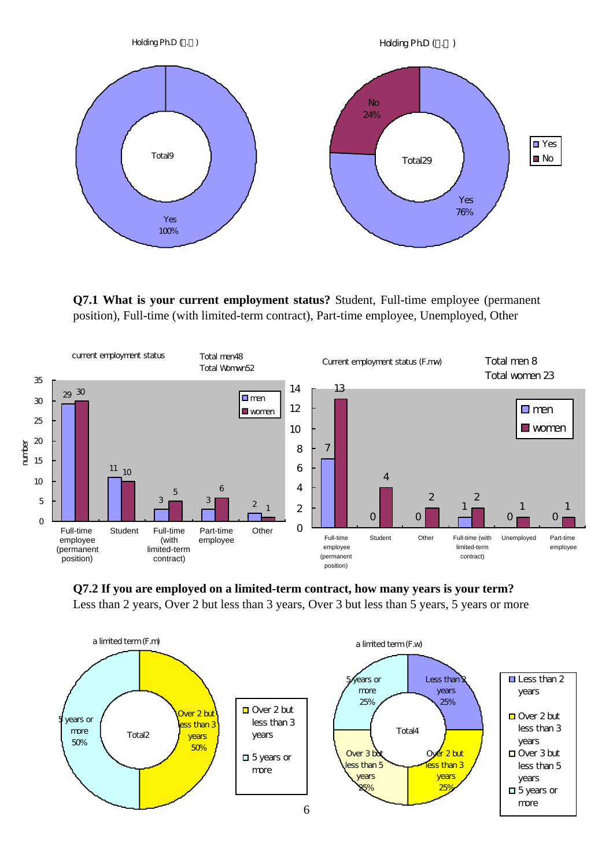

**Q7.1 What is your current employment status?** Student, Full-time employee (permanent position), Full-time (with limited-term contract), Part-time employee, Unemployed, Other



**Q7.2 If you are employed on a limited-term contract, how many years is your term?**  Less than 2 years, Over 2 but less than 3 years, Over 3 but less than 5 years, 5 years or more

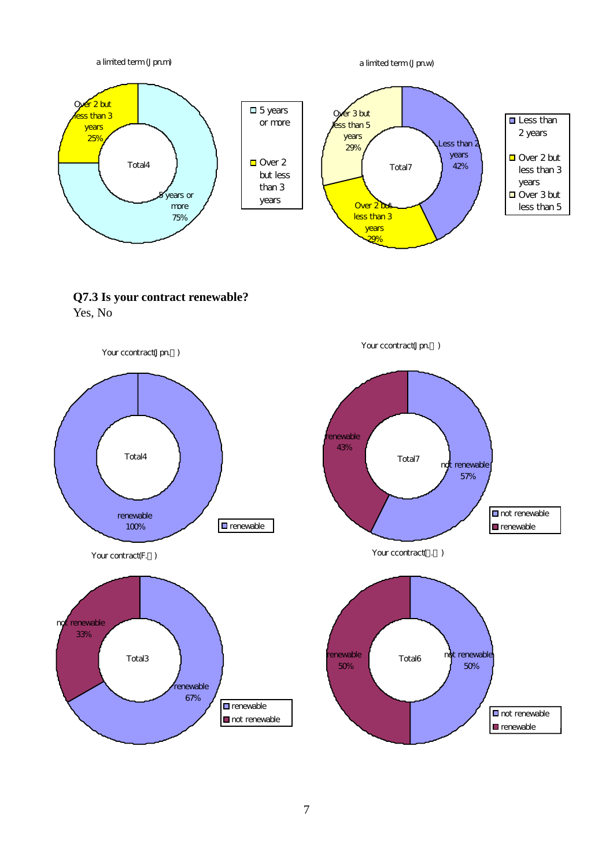

7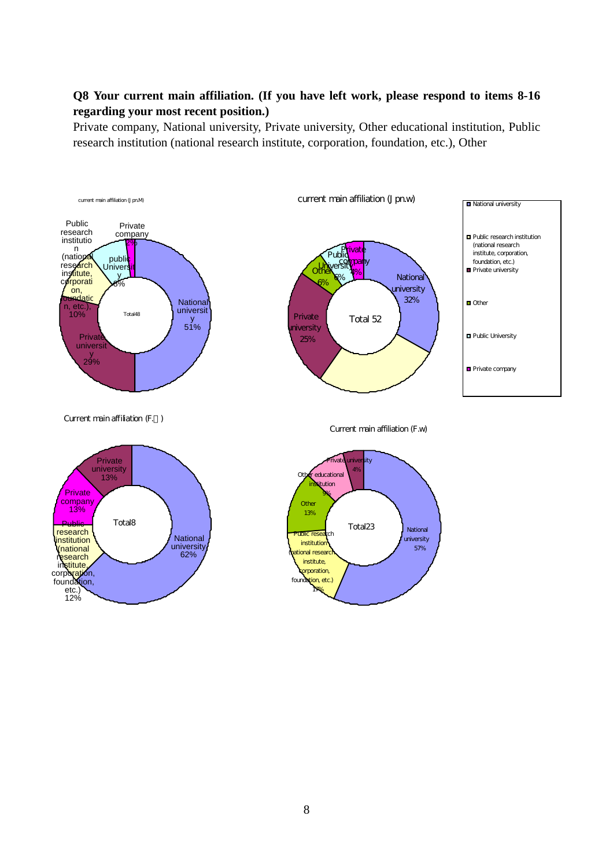## **Q8 Your current main affiliation. (If you have left work, please respond to items 8-16 regarding your most recent position.)**

Private company, National university, Private university, Other educational institution, Public research institution (national research institute, corporation, foundation, etc.), Other

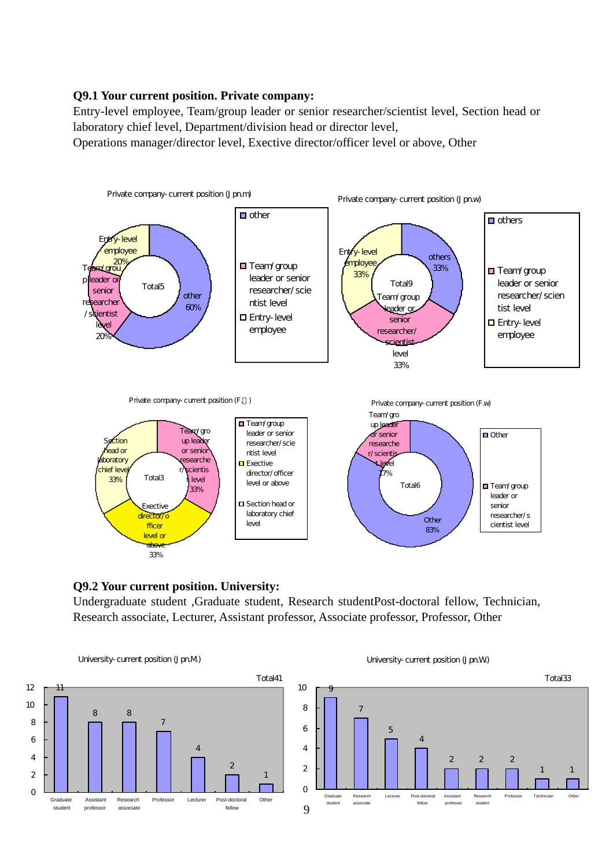## **Q9.1 Your current position. Private company:**

Entry-level employee, Team/group leader or senior researcher/scientist level, Section head or laboratory chief level, Department/division head or director level,

Operations manager/director level, Exective director/officer level or above, Other



## **Q9.2 Your current position. University:**

Undergraduate student ,Graduate student, Research studentPost-doctoral fellow, Technician, Research associate, Lecturer, Assistant professor, Associate professor, Professor, Other

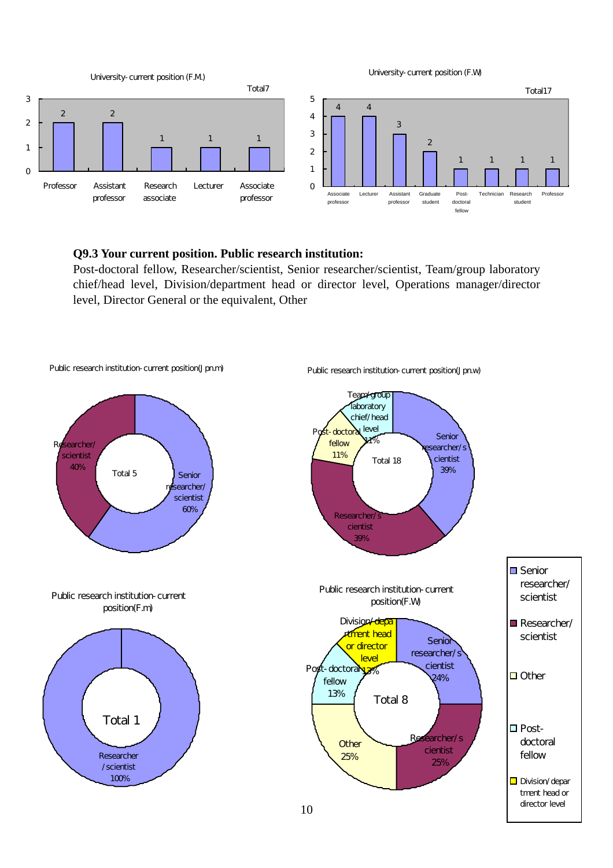

#### **Q9.3 Your current position. Public research institution:**

Post-doctoral fellow, Researcher/scientist, Senior researcher/scientist, Team/group laboratory chief/head level, Division/department head or director level, Operations manager/director level, Director General or the equivalent, Other

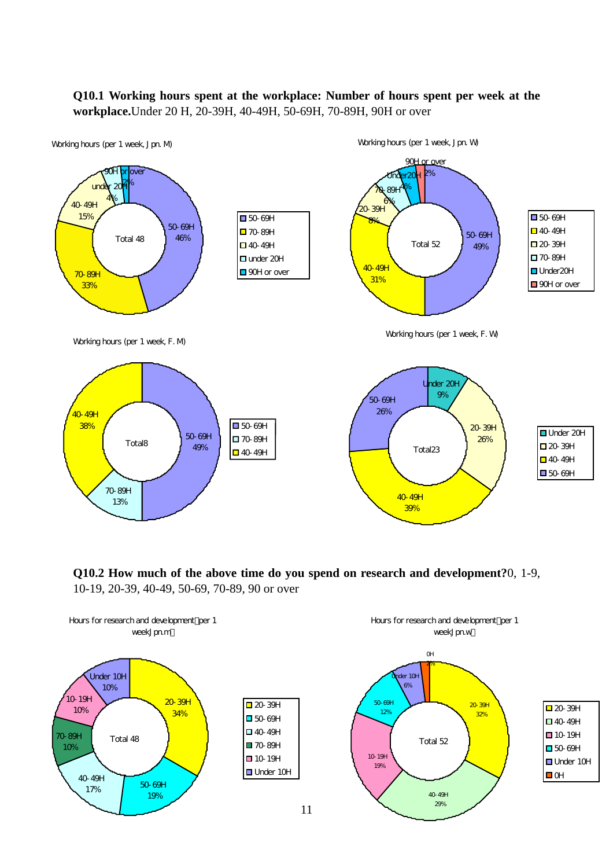## **Q10.1 Working hours spent at the workplace: Number of hours spent per week at the workplace.**Under 20 H, 20-39H, 40-49H, 50-69H, 70-89H, 90H or over



**Q10.2 How much of the above time do you spend on research and development?**0, 1-9, 10-19, 20-39, 40-49, 50-69, 70-89, 90 or over

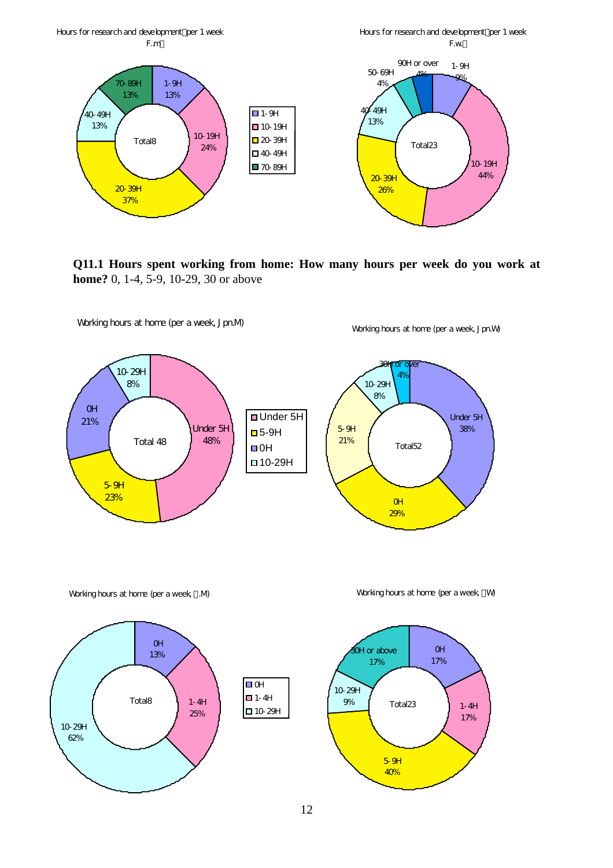

**Q11.1 Hours spent working from home: How many hours per week do you work at home?** 0, 1-4, 5-9, 10-29, 30 or above



Working hours at home (per a week, M)







12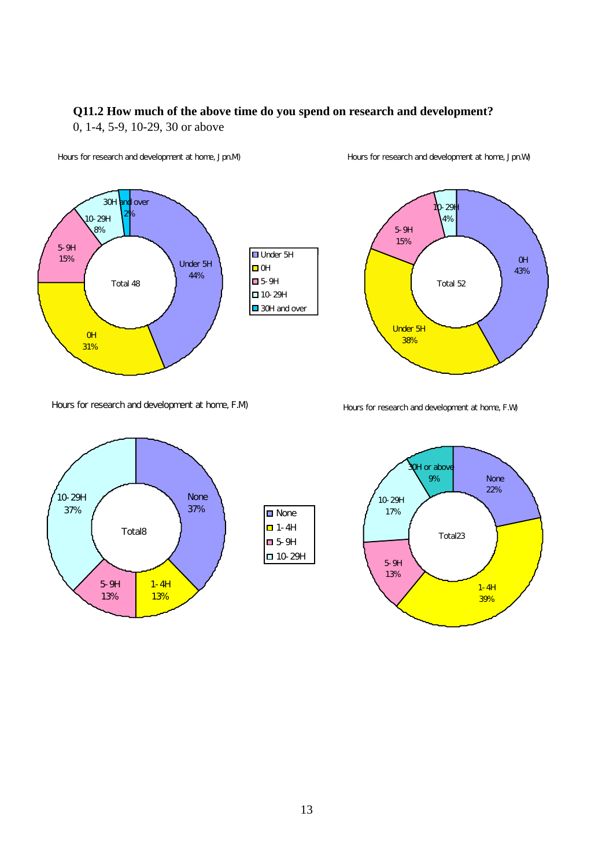# **Q11.2 How much of the above time do you spend on research and development?**

0, 1-4, 5-9, 10-29, 30 or above



#### Hours for research and development at home, Jpn.M)

# Under 5H 5-9H 10-29H ■ 30H and over

Hours for research and development at home, Jpn.W)



Hours for research and development at home, F.M)





#### Hours for research and development at home, F.W)

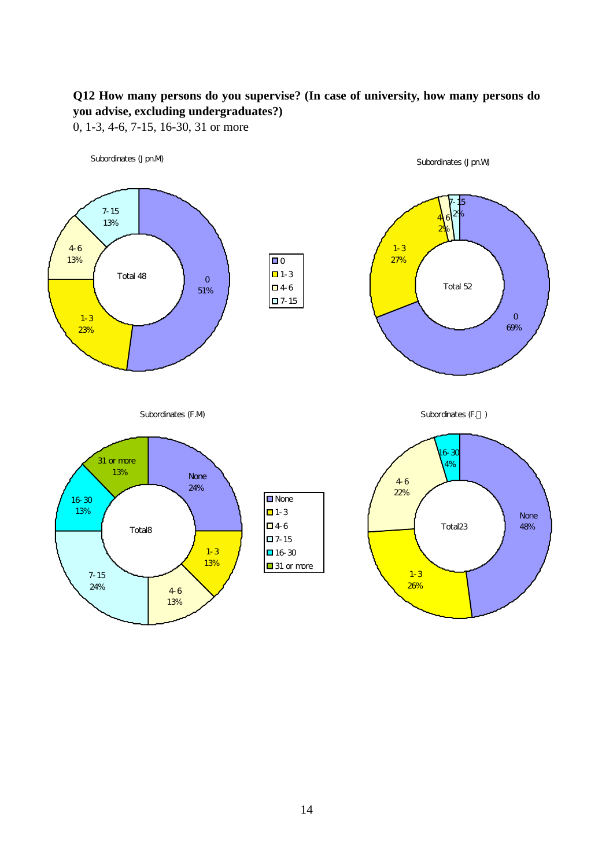# **Q12 How many persons do you supervise? (In case of university, how many persons do you advise, excluding undergraduates?)**

0, 1-3, 4-6, 7-15, 16-30, 31 or more

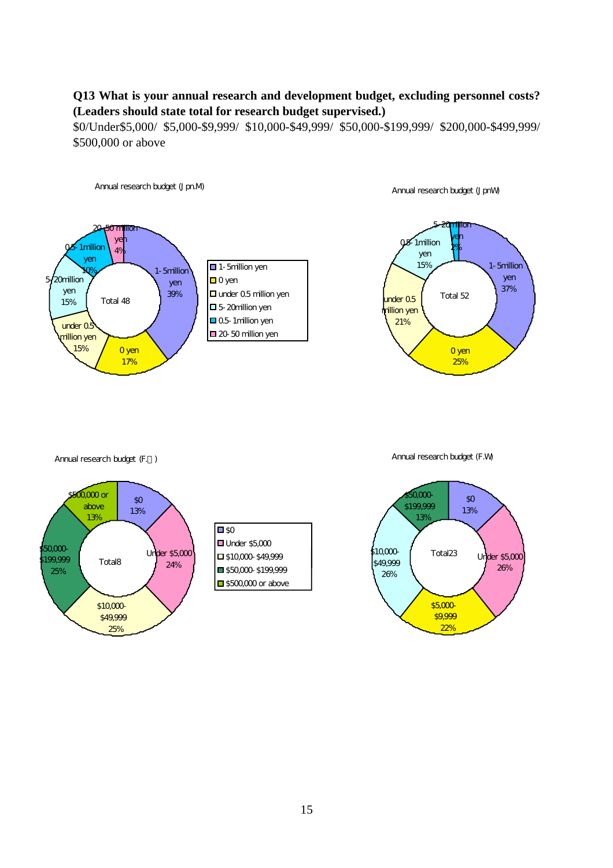## **Q13 What is your annual research and development budget, excluding personnel costs? (Leaders should state total for research budget supervised.)**

\$0/Under\$5,000/ \$5,000-\$9,999/ \$10,000-\$49,999/ \$50,000-\$199,999/ \$200,000-\$499,999/ \$500,000 or above

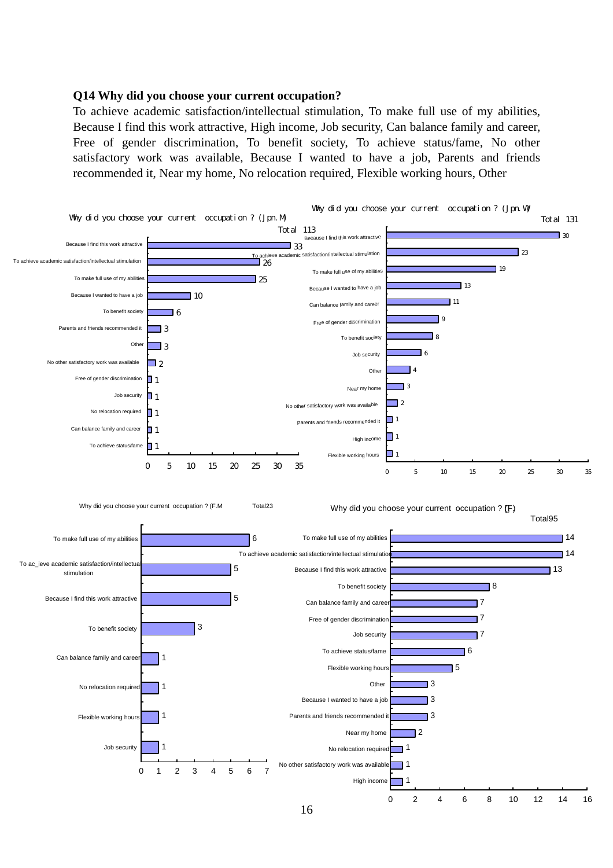#### **Q14 Why did you choose your current occupation?**

To achieve academic satisfaction/intellectual stimulation, To make full use of my abilities, Because I find this work attractive, High income, Job security, Can balance family and career, Free of gender discrimination, To benefit society, To achieve status/fame, No other satisfactory work was available, Because I wanted to have a job, Parents and friends recommended it, Near my home, No relocation required, Flexible working hours, Other

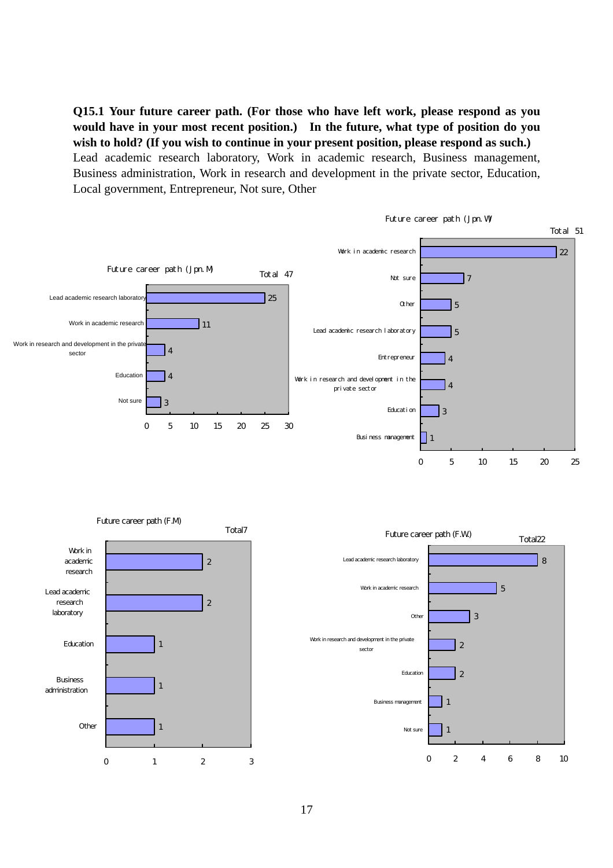**Q15.1 Your future career path. (For those who have left work, please respond as you would have in your most recent position.) In the future, what type of position do you wish to hold? (If you wish to continue in your present position, please respond as such.)** Lead academic research laboratory, Work in academic research, Business management, Business administration, Work in research and development in the private sector, Education, Local government, Entrepreneur, Not sure, Other



0 2 4 6 8 10

0 1 2 3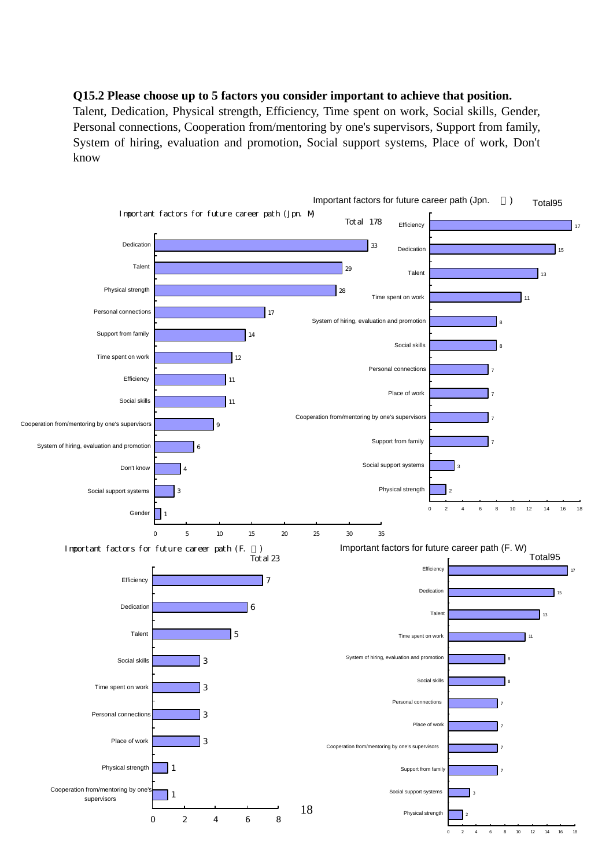#### **Q15.2 Please choose up to 5 factors you consider important to achieve that position.**

Talent, Dedication, Physical strength, Efficiency, Time spent on work, Social skills, Gender, Personal connections, Cooperation from/mentoring by one's supervisors, Support from family, System of hiring, evaluation and promotion, Social support systems, Place of work, Don't know

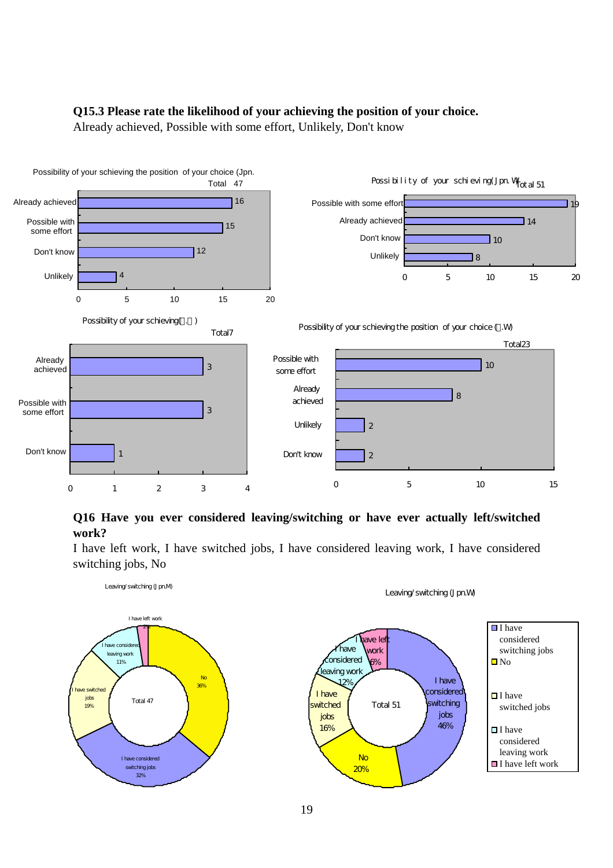## **Q15.3 Please rate the likelihood of your achieving the position of your choice.**

Already achieved, Possible with some effort, Unlikely, Don't know



## **Q16 Have you ever considered leaving/switching or have ever actually left/switched work?**

I have left work, I have switched jobs, I have considered leaving work, I have considered switching jobs, No



19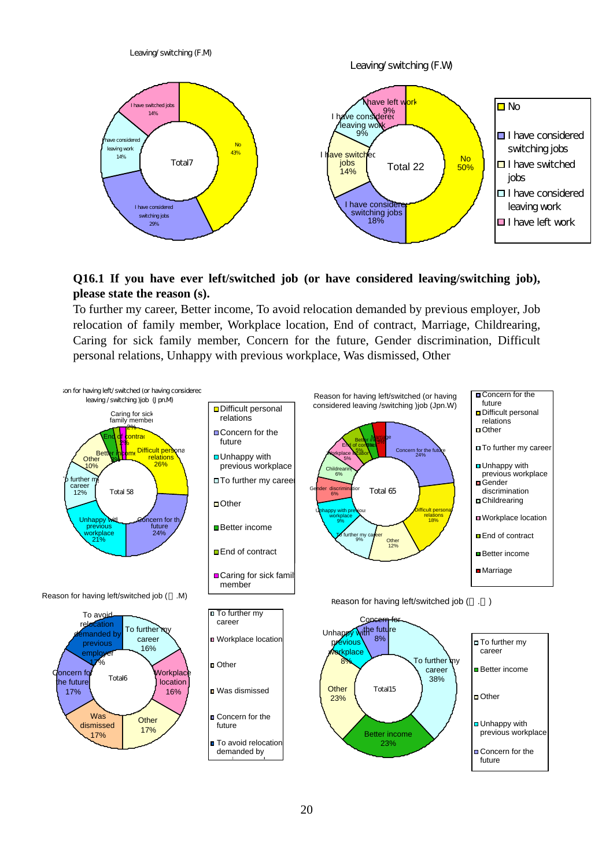

## **Q16.1 If you have ever left/switched job (or have considered leaving/switching job), please state the reason (s).**

To further my career, Better income, To avoid relocation demanded by previous employer, Job relocation of family member, Workplace location, End of contract, Marriage, Childrearing, Caring for sick family member, Concern for the future, Gender discrimination, Difficult personal relations, Unhappy with previous workplace, Was dismissed, Other

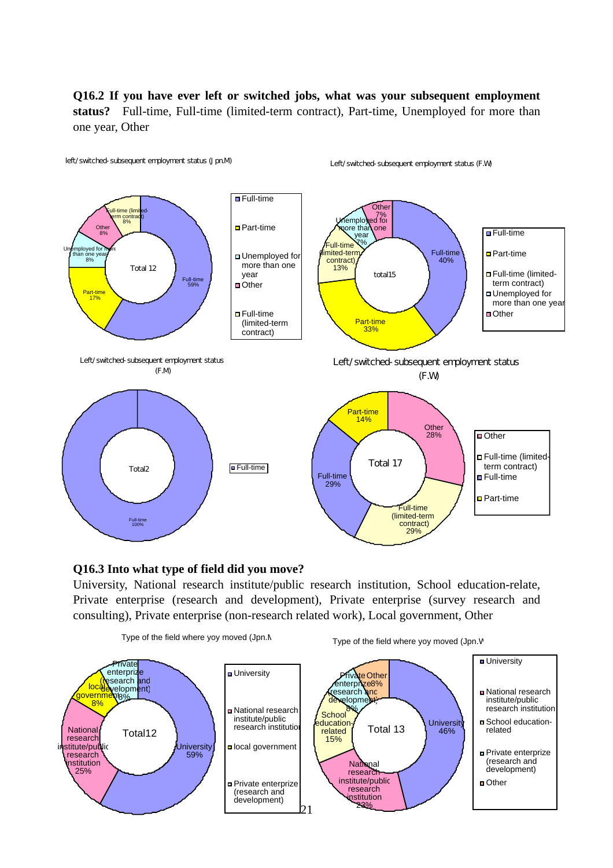**Q16.2 If you have ever left or switched jobs, what was your subsequent employment status?** Full-time, Full-time (limited-term contract), Part-time, Unemployed for more than one year, Other



#### **Q16.3 Into what type of field did you move?**

University, National research institute/public research institution, School education-relate, Private enterprise (research and development), Private enterprise (survey research and consulting), Private enterprise (non-research related work), Local government, Other

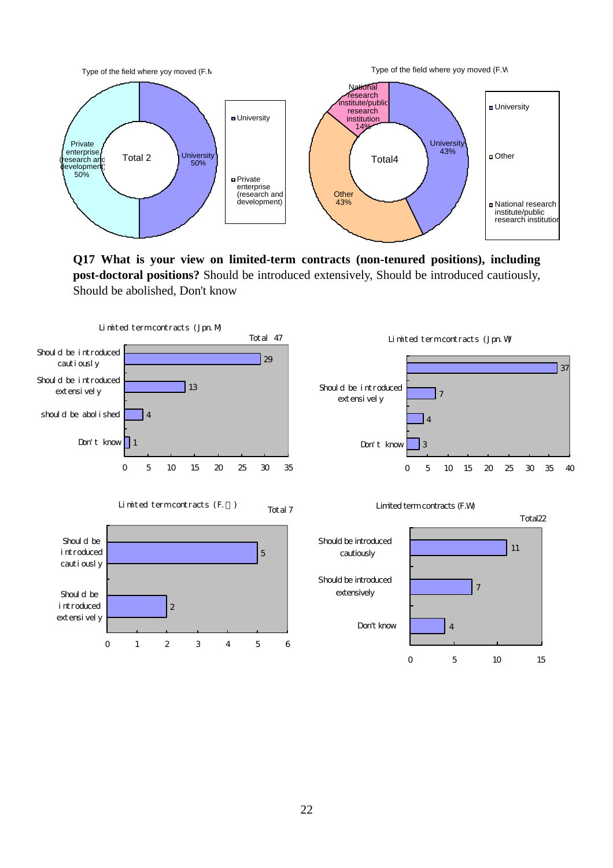

**Q17 What is your view on limited-term contracts (non-tenured positions), including post-doctoral positions?** Should be introduced extensively, Should be introduced cautiously, Should be abolished, Don't know

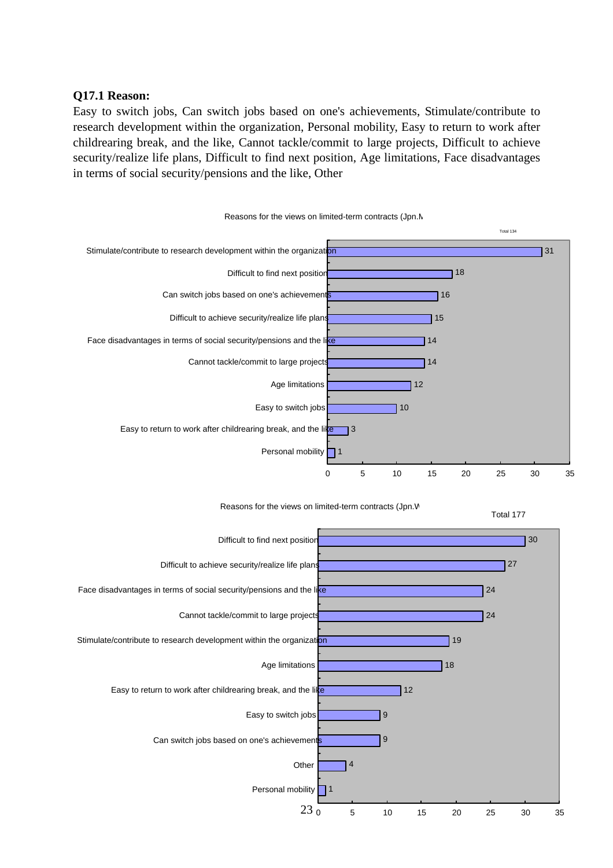## **Q17.1 Reason:**

Easy to switch jobs, Can switch jobs based on one's achievements, Stimulate/contribute to research development within the organization, Personal mobility, Easy to return to work after childrearing break, and the like, Cannot tackle/commit to large projects, Difficult to achieve security/realize life plans, Difficult to find next position, Age limitations, Face disadvantages in terms of social security/pensions and the like, Other





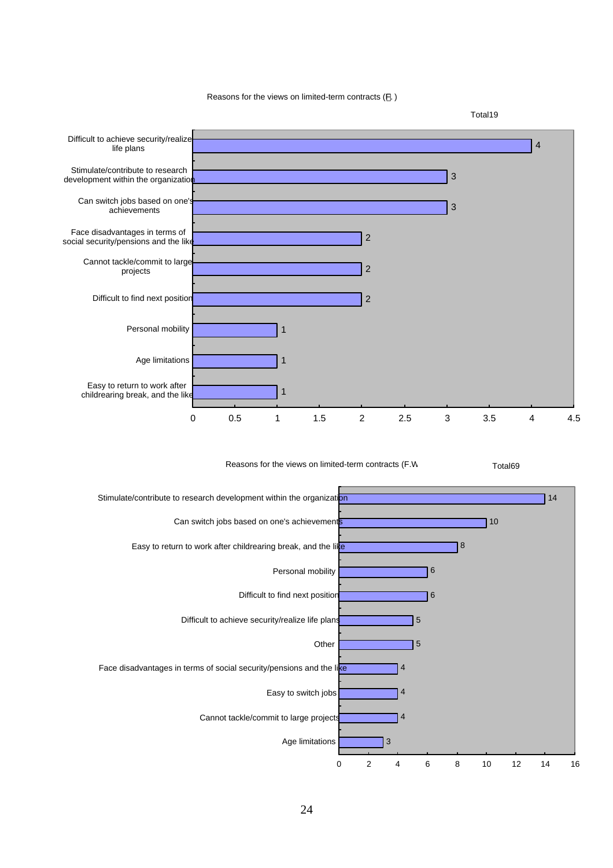Reasons for the views on limited-term contracts (F. )



24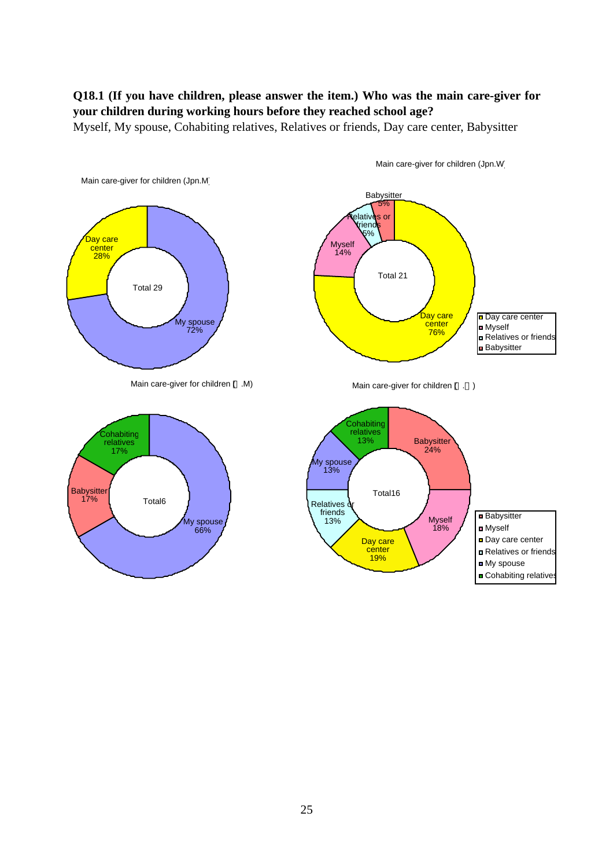## **Q18.1 (If you have children, please answer the item.) Who was the main care-giver for your children during working hours before they reached school age?**

Myself, My spouse, Cohabiting relatives, Relatives or friends, Day care center, Babysitter



Main care-giver for children (Jpn.W)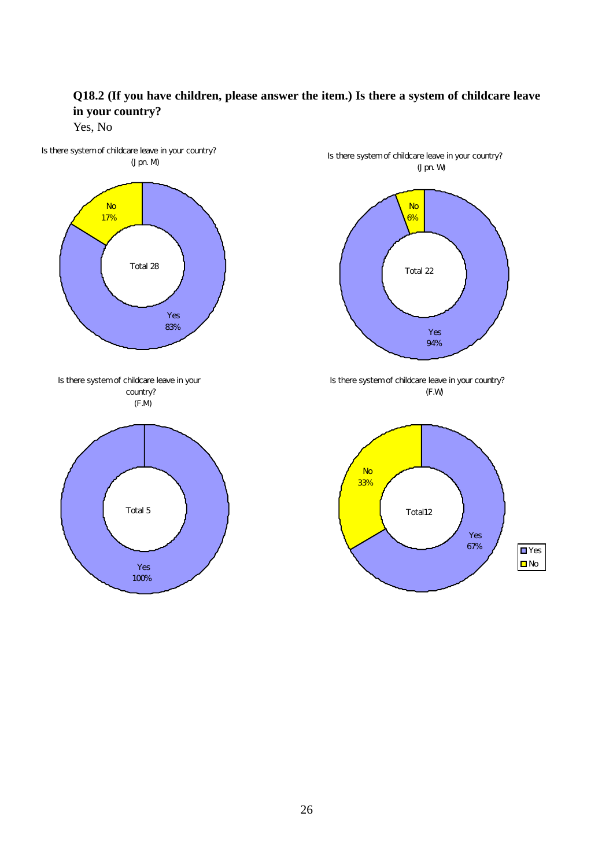

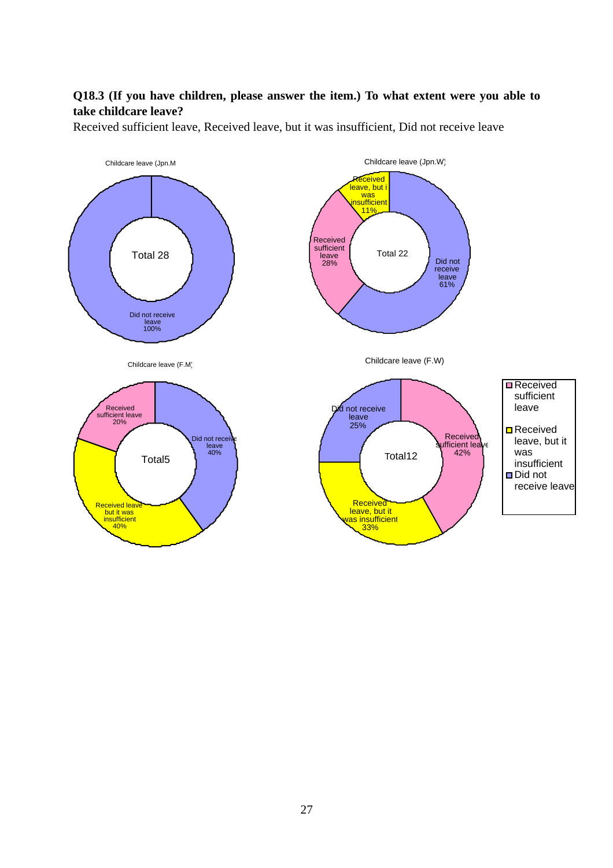# **Q18.3 (If you have children, please answer the item.) To what extent were you able to take childcare leave?**

Received sufficient leave, Received leave, but it was insufficient, Did not receive leave

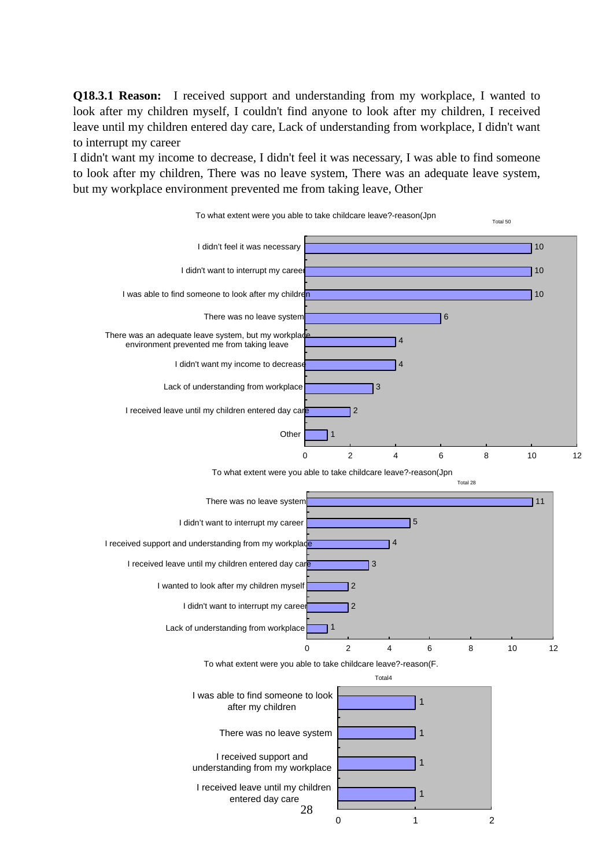**Q18.3.1 Reason:** I received support and understanding from my workplace, I wanted to look after my children myself, I couldn't find anyone to look after my children, I received leave until my children entered day care, Lack of understanding from workplace, I didn't want to interrupt my career

I didn't want my income to decrease, I didn't feel it was necessary, I was able to find someone to look after my children, There was no leave system, There was an adequate leave system, but my workplace environment prevented me from taking leave, Other

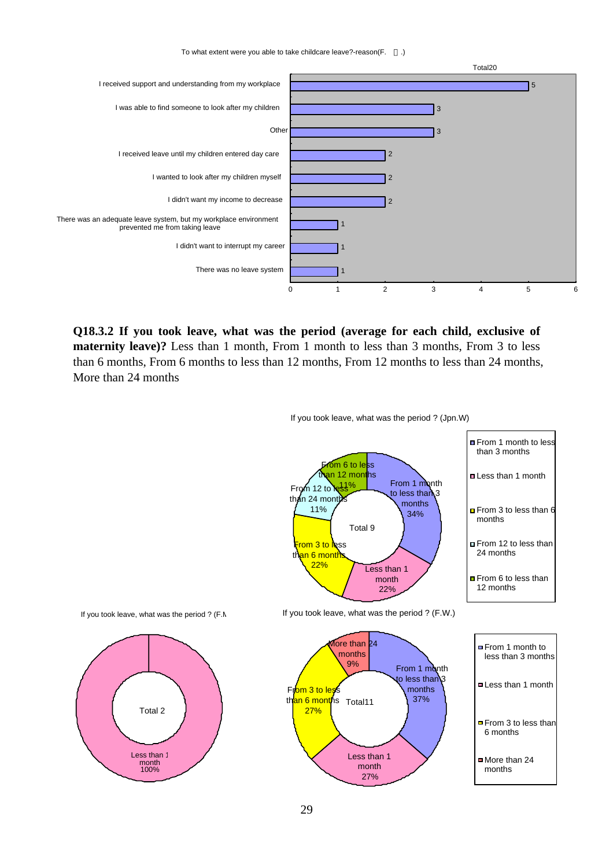To what extent were you able to take childcare leave?-reason(F. .)



**Q18.3.2 If you took leave, what was the period (average for each child, exclusive of maternity leave)?** Less than 1 month, From 1 month to less than 3 months, From 3 to less than 6 months, From 6 months to less than 12 months, From 12 months to less than 24 months, More than 24 months



If you took leave, what was the period ? (Jpn.W)

From 1 month to less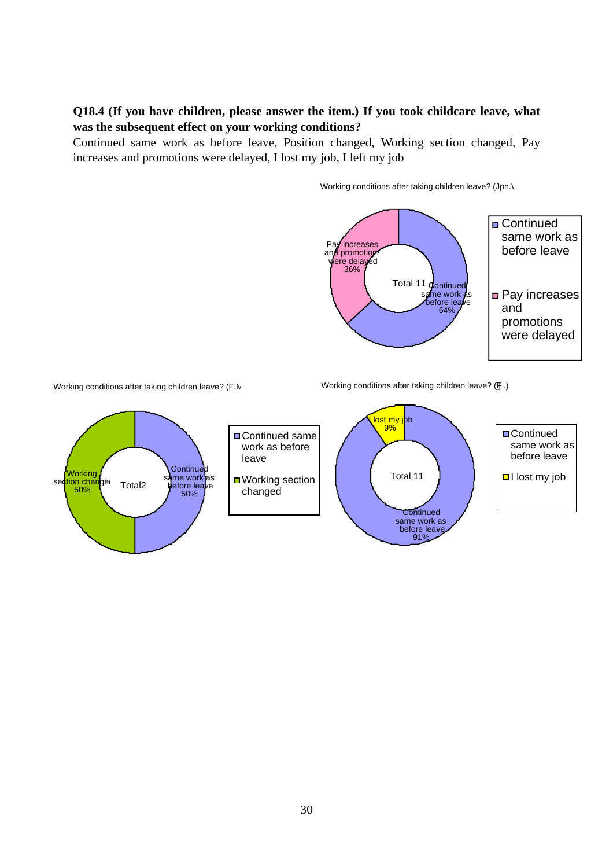## **Q18.4 (If you have children, please answer the item.) If you took childcare leave, what was the subsequent effect on your working conditions?**

Continued same work as before leave, Position changed, Working section changed, Pay increases and promotions were delayed, I lost my job, I left my job



Working conditions after taking children leave? (Jpn.V

Working conditions after taking children leave? (F.M

Working conditions after taking children leave? (F..)

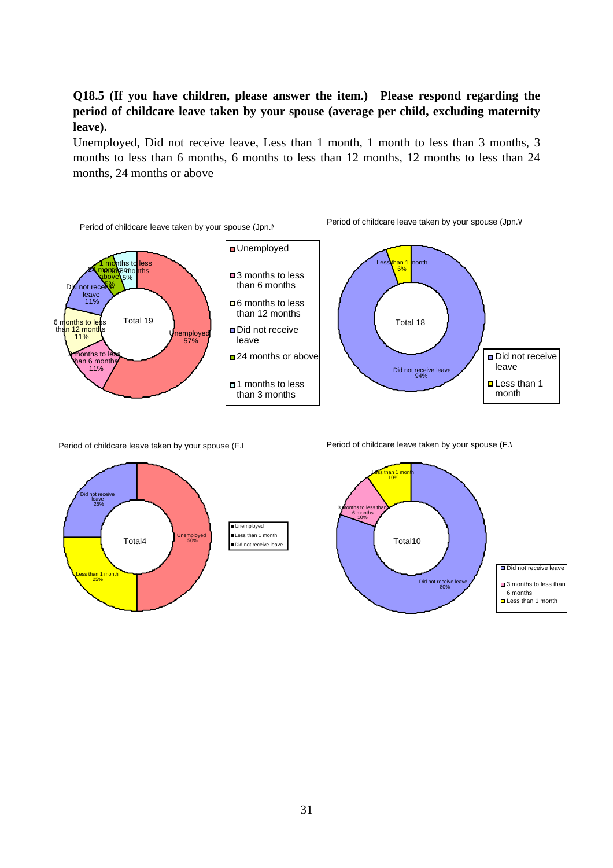## **Q18.5 (If you have children, please answer the item.) Please respond regarding the period of childcare leave taken by your spouse (average per child, excluding maternity leave).**

Unemployed, Did not receive leave, Less than 1 month, 1 month to less than 3 months, 3 months to less than 6 months, 6 months to less than 12 months, 12 months to less than 24 months, 24 months or above



Period of childcare leave taken by your spouse (F.I



Period of childcare leave taken by your spouse (F.V



31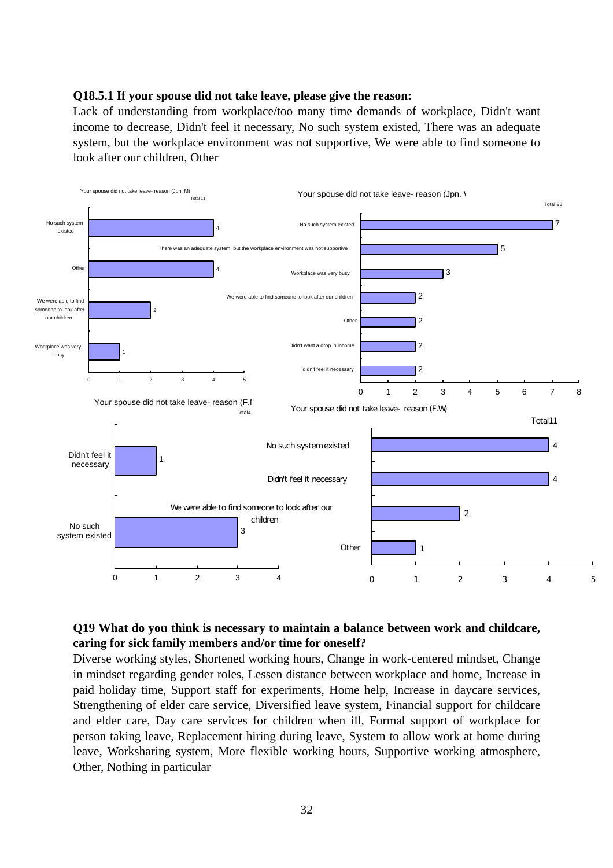#### **Q18.5.1 If your spouse did not take leave, please give the reason:**

Lack of understanding from workplace/too many time demands of workplace, Didn't want income to decrease, Didn't feel it necessary, No such system existed, There was an adequate system, but the workplace environment was not supportive, We were able to find someone to look after our children, Other



## **Q19 What do you think is necessary to maintain a balance between work and childcare, caring for sick family members and/or time for oneself?**

Diverse working styles, Shortened working hours, Change in work-centered mindset, Change in mindset regarding gender roles, Lessen distance between workplace and home, Increase in paid holiday time, Support staff for experiments, Home help, Increase in daycare services, Strengthening of elder care service, Diversified leave system, Financial support for childcare and elder care, Day care services for children when ill, Formal support of workplace for person taking leave, Replacement hiring during leave, System to allow work at home during leave, Worksharing system, More flexible working hours, Supportive working atmosphere, Other, Nothing in particular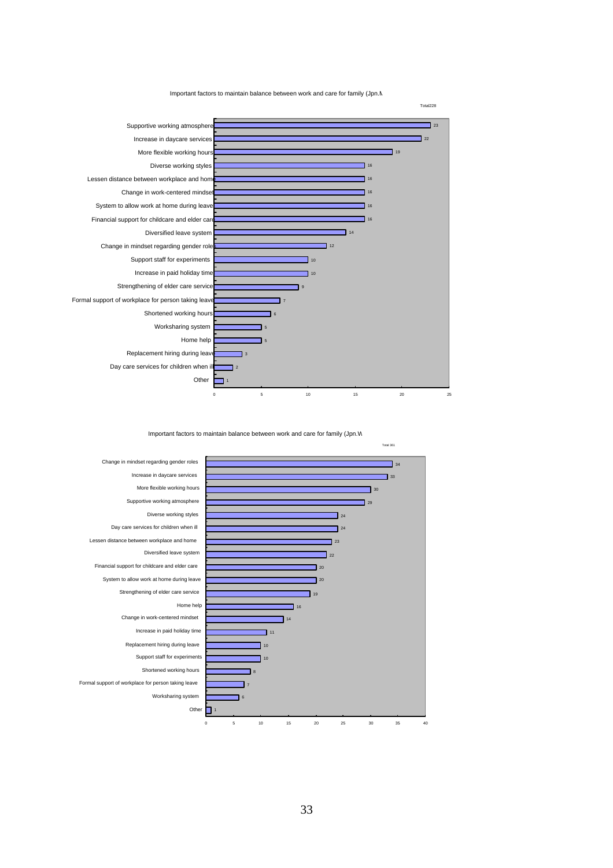Important factors to maintain balance between work and care for family (Jpn.M



Important factors to maintain balance between work and care for family (Jpn.W

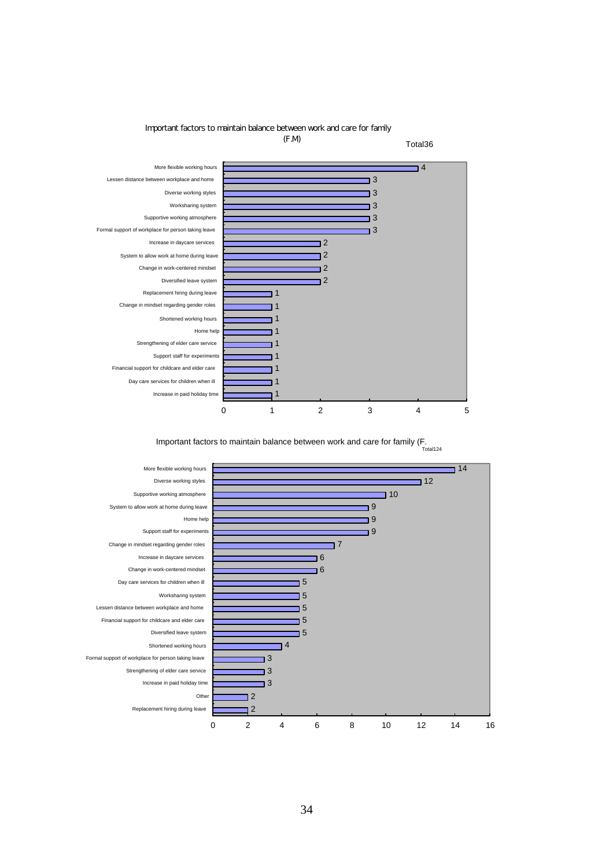

#### Important factors to maintain balance between work and care for family

Important factors to maintain balance between work and care for family (F. Total124

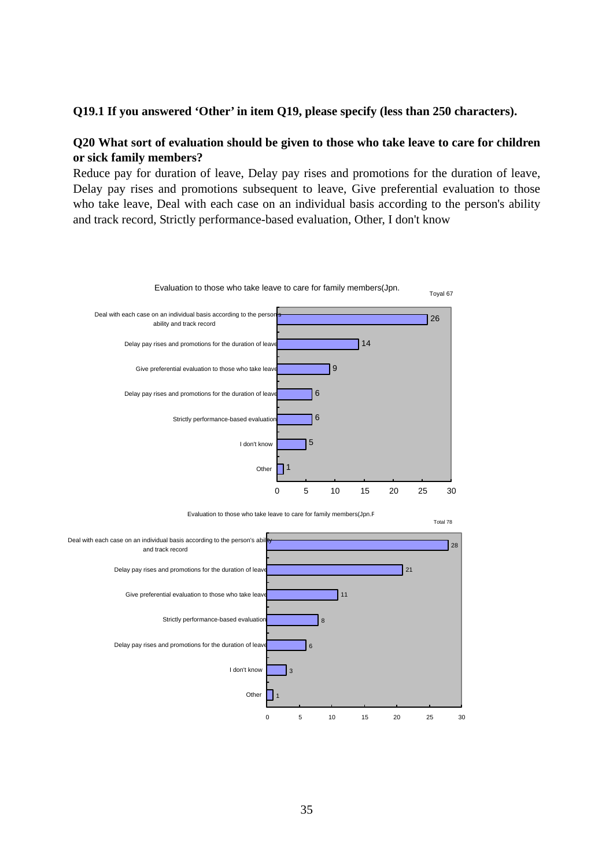## **Q19.1 If you answered 'Other' in item Q19, please specify (less than 250 characters).**

## **Q20 What sort of evaluation should be given to those who take leave to care for children or sick family members?**

Reduce pay for duration of leave, Delay pay rises and promotions for the duration of leave, Delay pay rises and promotions subsequent to leave, Give preferential evaluation to those who take leave, Deal with each case on an individual basis according to the person's ability and track record, Strictly performance-based evaluation, Other, I don't know



Evaluation to those who take leave to care for family members(Jpn.F

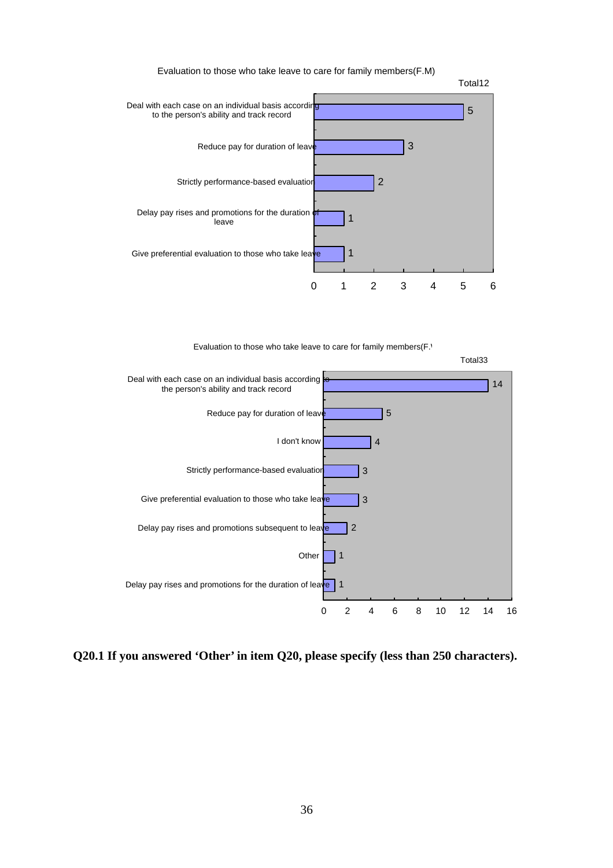



Evaluation to those who take leave to care for family members(F.



**Q20.1 If you answered 'Other' in item Q20, please specify (less than 250 characters).**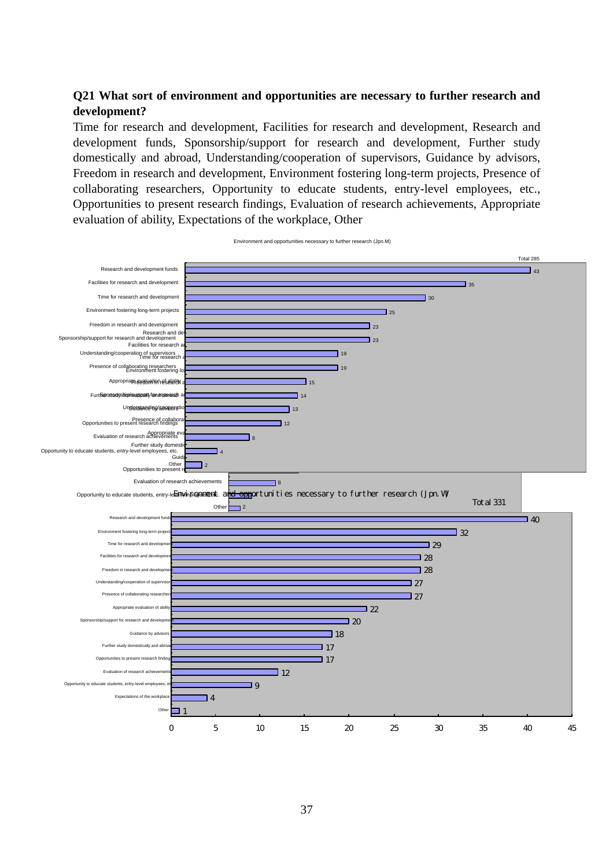## **Q21 What sort of environment and opportunities are necessary to further research and development?**

Time for research and development, Facilities for research and development, Research and development funds, Sponsorship/support for research and development, Further study domestically and abroad, Understanding/cooperation of supervisors, Guidance by advisors, Freedom in research and development, Environment fostering long-term projects, Presence of collaborating researchers, Opportunity to educate students, entry-level employees, etc., Opportunities to present research findings, Evaluation of research achievements, Appropriate evaluation of ability, Expectations of the workplace, Other



Environment and opportunities necessary to further research (Jpn.M)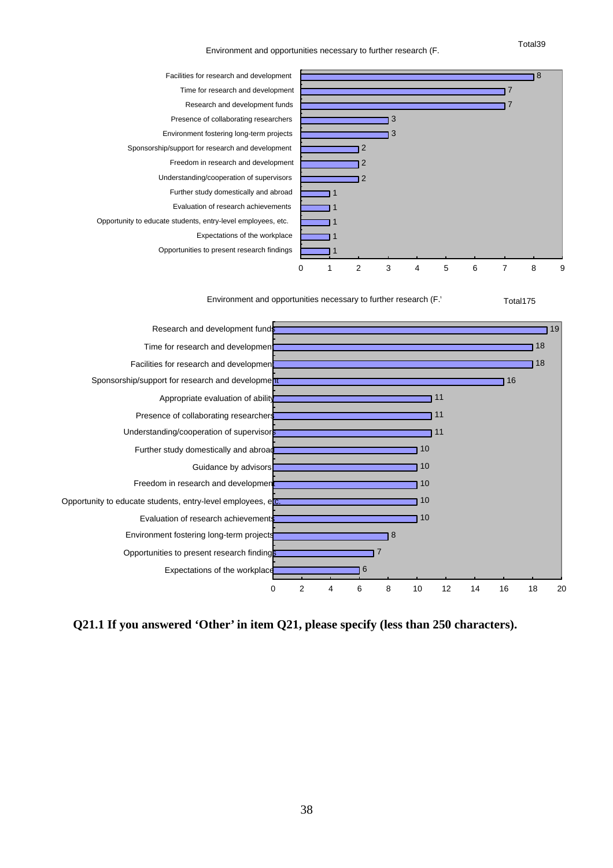Environment and opportunities necessary to further research (F.



Environment and opportunities necessary to further research (F.



**Q21.1 If you answered 'Other' in item Q21, please specify (less than 250 characters).** 

Total39

Total175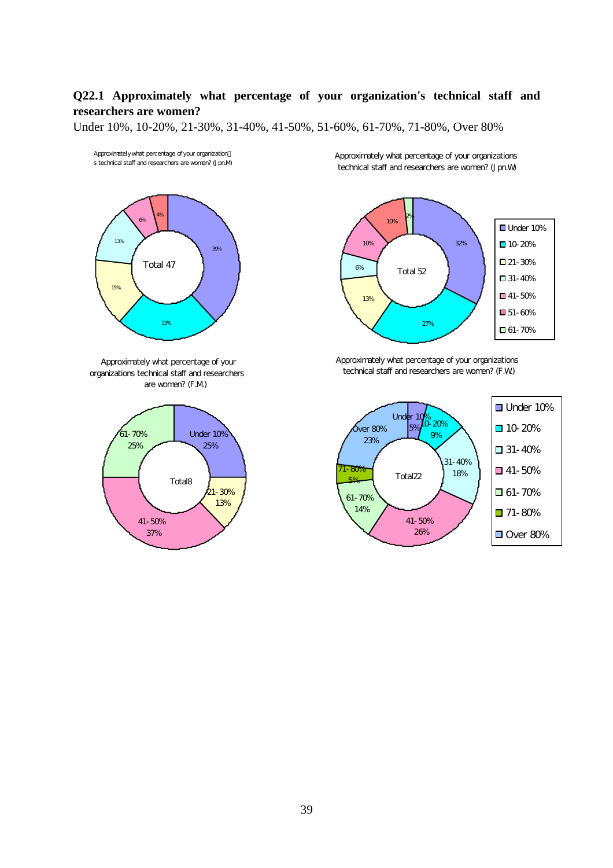## **Q22.1 Approximately what percentage of your organization's technical staff and researchers are women?**

Under 10%, 10-20%, 21-30%, 31-40%, 41-50%, 51-60%, 61-70%, 71-80%, Over 80%



Approximately what percentage of your organizations technical staff and researchers are women? (F.M)



Approximately what percentage of your organizations technical staff and researchers are women? (Jpn.W)



Approximately what percentage of your organizations technical staff and researchers are women? (F.W.)

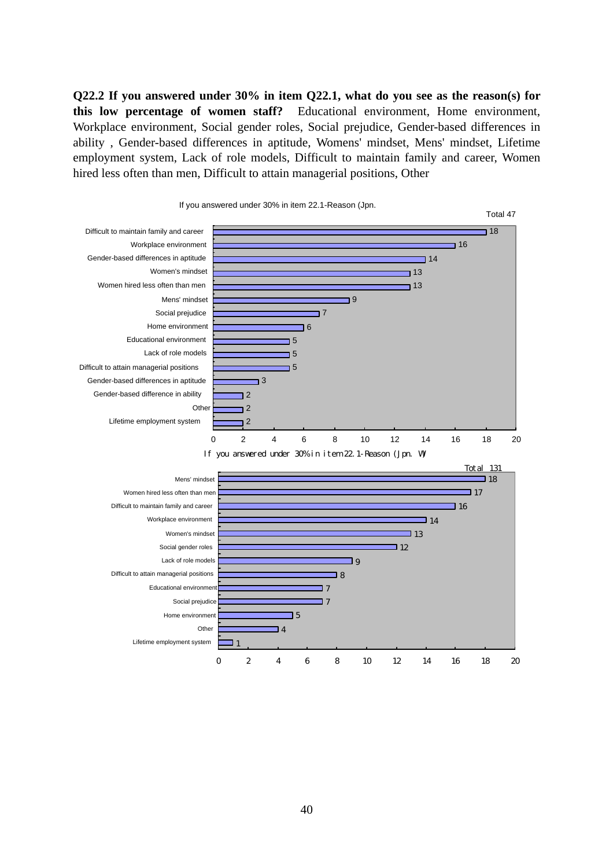**Q22.2 If you answered under 30% in item Q22.1, what do you see as the reason(s) for this low percentage of women staff?** Educational environment, Home environment, Workplace environment, Social gender roles, Social prejudice, Gender-based differences in ability , Gender-based differences in aptitude, Womens' mindset, Mens' mindset, Lifetime employment system, Lack of role models, Difficult to maintain family and career, Women hired less often than men, Difficult to attain managerial positions, Other

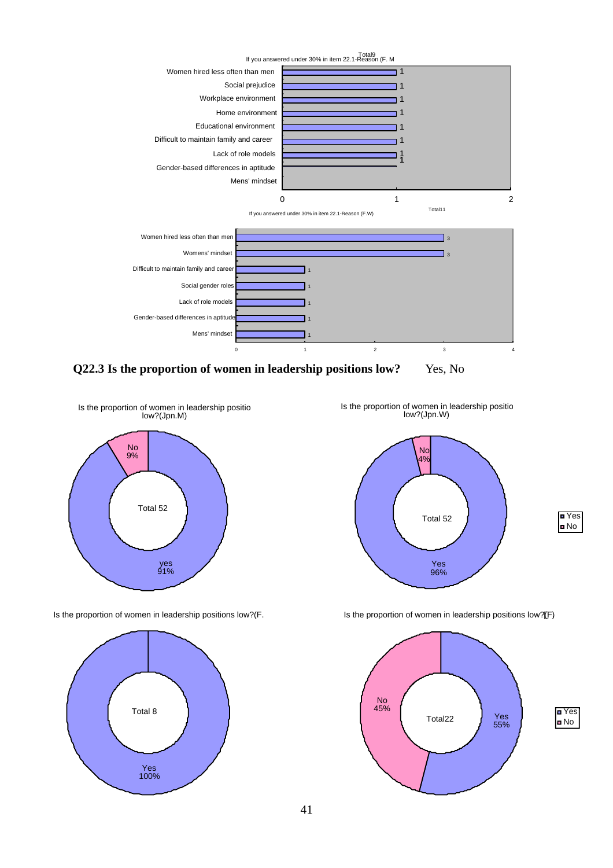

**Q22.3 Is the proportion of women in leadership positions low?** Yes, No



Is the proportion of women in leadership positions low?(F.



Is the proportion of women in leadership positio low?(Jpn.W)





Is the proportion of women in leadership positions low?(F)

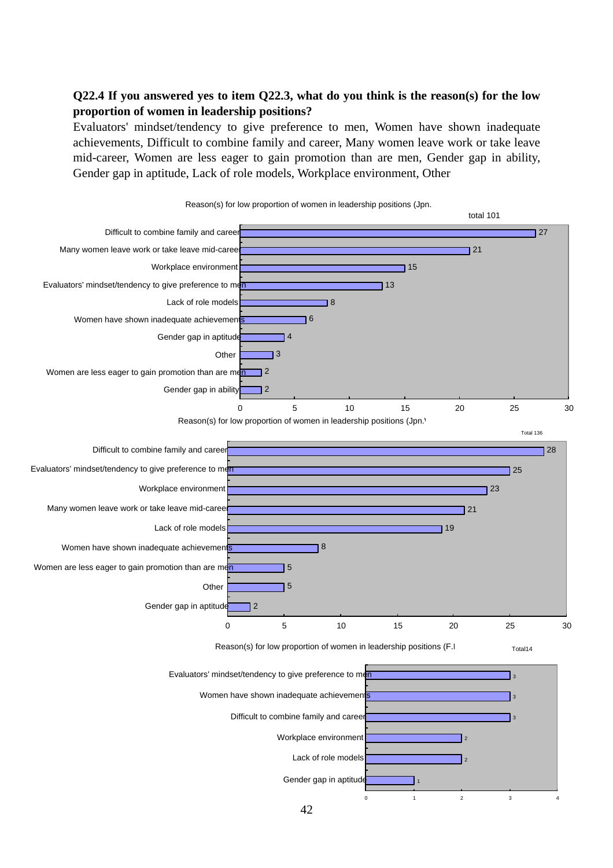## **Q22.4 If you answered yes to item Q22.3, what do you think is the reason(s) for the low proportion of women in leadership positions?**

Evaluators' mindset/tendency to give preference to men, Women have shown inadequate achievements, Difficult to combine family and career, Many women leave work or take leave mid-career, Women are less eager to gain promotion than are men, Gender gap in ability, Gender gap in aptitude, Lack of role models, Workplace environment, Other

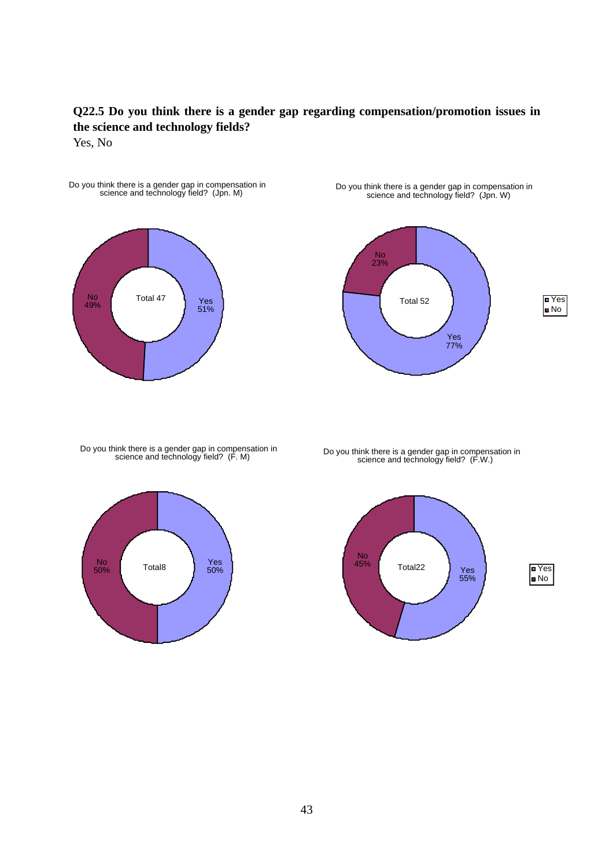## **Q22.5 Do you think there is a gender gap regarding compensation/promotion issues in the science and technology fields?**

Yes, No



Do you think there is a gender gap in compensation in science and technology field? (Jpn. W)



Do you think there is a gender gap in compensation in science and technology field? (F. M)



Do you think there is a gender gap in compensation in science and technology field? (F.W.)

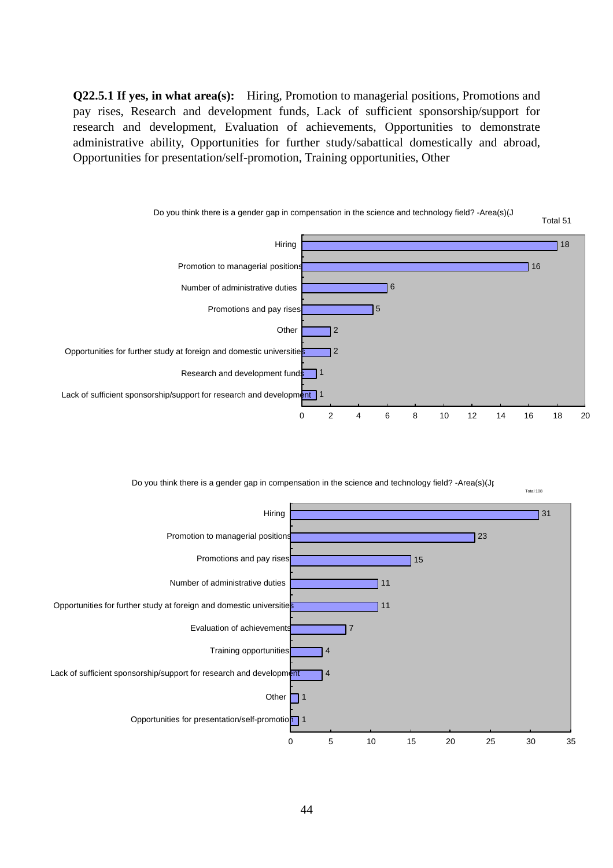**Q22.5.1 If yes, in what area(s):** Hiring, Promotion to managerial positions, Promotions and pay rises, Research and development funds, Lack of sufficient sponsorship/support for research and development, Evaluation of achievements, Opportunities to demonstrate administrative ability, Opportunities for further study/sabattical domestically and abroad, Opportunities for presentation/self-promotion, Training opportunities, Other



Do you think there is a gender gap in compensation in the science and technology field? -Area(s)(Jp

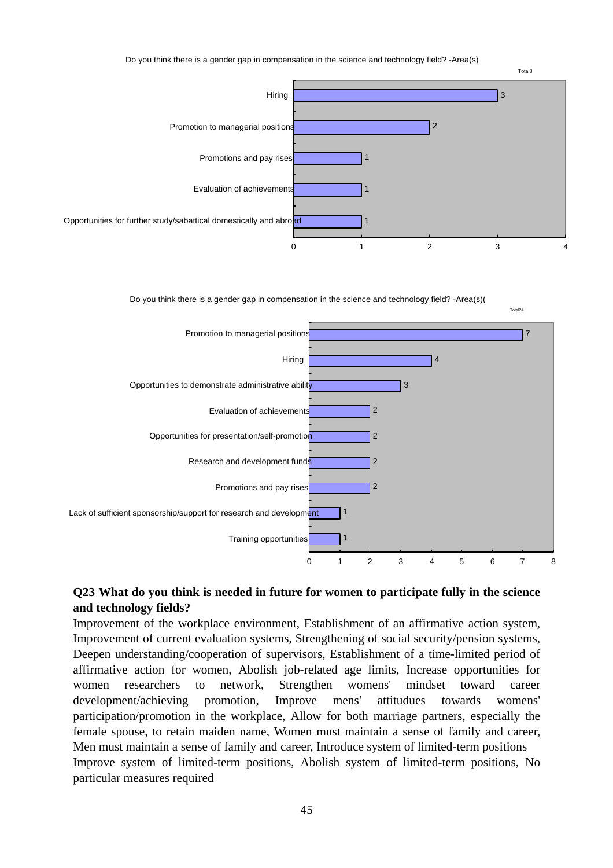

Do you think there is a gender gap in compensation in the science and technology field? -Area(s)(



## **Q23 What do you think is needed in future for women to participate fully in the science and technology fields?**

Improvement of the workplace environment, Establishment of an affirmative action system, Improvement of current evaluation systems, Strengthening of social security/pension systems, Deepen understanding/cooperation of supervisors, Establishment of a time-limited period of affirmative action for women, Abolish job-related age limits, Increase opportunities for women researchers to network, Strengthen womens' mindset toward career development/achieving promotion, Improve mens' attitudues towards womens' participation/promotion in the workplace, Allow for both marriage partners, especially the female spouse, to retain maiden name, Women must maintain a sense of family and career, Men must maintain a sense of family and career, Introduce system of limited-term positions Improve system of limited-term positions, Abolish system of limited-term positions, No particular measures required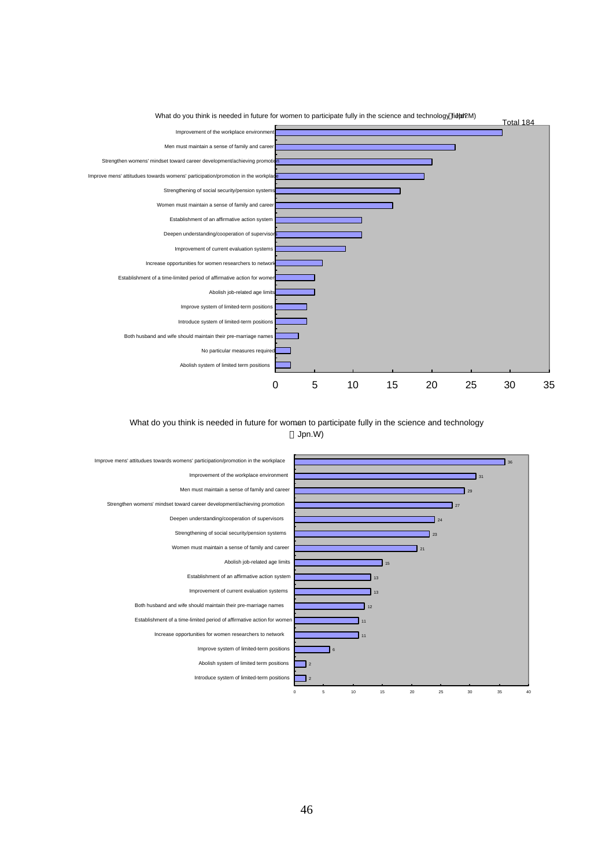

#### What do you think is needed in future for women to participate fully in the science and technology Jpn.W)